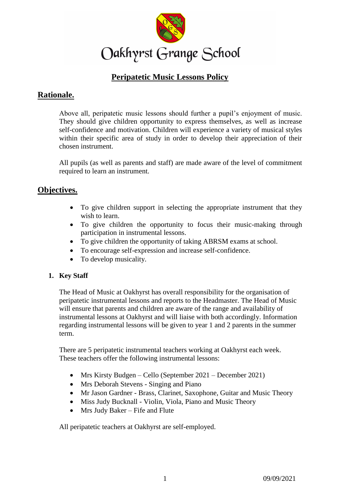

# **Peripatetic Music Lessons Policy**

# **Rationale.**

Above all, peripatetic music lessons should further a pupil's enjoyment of music. They should give children opportunity to express themselves, as well as increase self-confidence and motivation. Children will experience a variety of musical styles within their specific area of study in order to develop their appreciation of their chosen instrument.

All pupils (as well as parents and staff) are made aware of the level of commitment required to learn an instrument.

# **Objectives.**

- To give children support in selecting the appropriate instrument that they wish to learn.
- To give children the opportunity to focus their music-making through participation in instrumental lessons.
- To give children the opportunity of taking ABRSM exams at school.
- To encourage self-expression and increase self-confidence.
- To develop musicality.

## **1. Key Staff**

The Head of Music at Oakhyrst has overall responsibility for the organisation of peripatetic instrumental lessons and reports to the Headmaster. The Head of Music will ensure that parents and children are aware of the range and availability of instrumental lessons at Oakhyrst and will liaise with both accordingly. Information regarding instrumental lessons will be given to year 1 and 2 parents in the summer term.

There are 5 peripatetic instrumental teachers working at Oakhyrst each week. These teachers offer the following instrumental lessons:

- Mrs Kirsty Budgen Cello (September 2021 December 2021)
- Mrs Deborah Stevens Singing and Piano
- Mr Jason Gardner Brass, Clarinet, Saxophone, Guitar and Music Theory
- Miss Judy Bucknall Violin, Viola, Piano and Music Theory
- Mrs Judy Baker Fife and Flute

All peripatetic teachers at Oakhyrst are self-employed.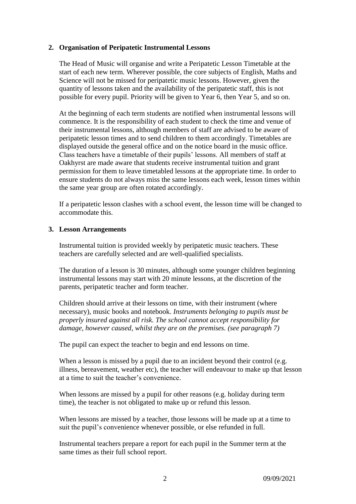### **2. Organisation of Peripatetic Instrumental Lessons**

The Head of Music will organise and write a Peripatetic Lesson Timetable at the start of each new term. Wherever possible, the core subjects of English, Maths and Science will not be missed for peripatetic music lessons. However, given the quantity of lessons taken and the availability of the peripatetic staff, this is not possible for every pupil. Priority will be given to Year 6, then Year 5, and so on.

At the beginning of each term students are notified when instrumental lessons will commence. It is the responsibility of each student to check the time and venue of their instrumental lessons, although members of staff are advised to be aware of peripatetic lesson times and to send children to them accordingly. Timetables are displayed outside the general office and on the notice board in the music office. Class teachers have a timetable of their pupils' lessons. All members of staff at Oakhyrst are made aware that students receive instrumental tuition and grant permission for them to leave timetabled lessons at the appropriate time. In order to ensure students do not always miss the same lessons each week, lesson times within the same year group are often rotated accordingly.

If a peripatetic lesson clashes with a school event, the lesson time will be changed to accommodate this.

### **3. Lesson Arrangements**

Instrumental tuition is provided weekly by peripatetic music teachers. These teachers are carefully selected and are well-qualified specialists.

The duration of a lesson is 30 minutes, although some younger children beginning instrumental lessons may start with 20 minute lessons, at the discretion of the parents, peripatetic teacher and form teacher.

Children should arrive at their lessons on time, with their instrument (where necessary), music books and notebook. *Instruments belonging to pupils must be properly insured against all risk. The school cannot accept responsibility for damage, however caused, whilst they are on the premises. (see paragraph 7)*

The pupil can expect the teacher to begin and end lessons on time.

When a lesson is missed by a pupil due to an incident beyond their control (e.g. illness, bereavement, weather etc), the teacher will endeavour to make up that lesson at a time to suit the teacher's convenience.

When lessons are missed by a pupil for other reasons (e.g. holiday during term time), the teacher is not obligated to make up or refund this lesson.

When lessons are missed by a teacher, those lessons will be made up at a time to suit the pupil's convenience whenever possible, or else refunded in full.

Instrumental teachers prepare a report for each pupil in the Summer term at the same times as their full school report.